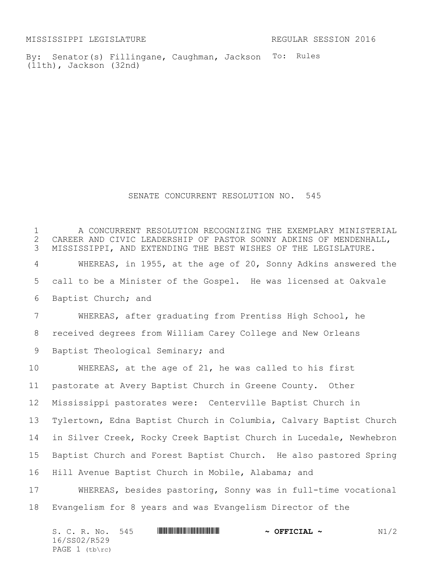MISSISSIPPI LEGISLATURE REGULAR SESSION 2016

By: Senator(s) Fillingane, Caughman, Jackson To: Rules (11th), Jackson (32nd)

SENATE CONCURRENT RESOLUTION NO. 545

 A CONCURRENT RESOLUTION RECOGNIZING THE EXEMPLARY MINISTERIAL 2 CAREER AND CIVIC LEADERSHIP OF PASTOR SONNY ADKINS OF MENDENHALL,<br>3 MISSISSIPPI, AND EXTENDING THE BEST WISHES OF THE LEGISLATURE. MISSISSIPPI, AND EXTENDING THE BEST WISHES OF THE LEGISLATURE. WHEREAS, in 1955, at the age of 20, Sonny Adkins answered the call to be a Minister of the Gospel. He was licensed at Oakvale Baptist Church; and WHEREAS, after graduating from Prentiss High School, he received degrees from William Carey College and New Orleans Baptist Theological Seminary; and WHEREAS, at the age of 21, he was called to his first pastorate at Avery Baptist Church in Greene County. Other Mississippi pastorates were: Centerville Baptist Church in Tylertown, Edna Baptist Church in Columbia, Calvary Baptist Church in Silver Creek, Rocky Creek Baptist Church in Lucedale, Newhebron Baptist Church and Forest Baptist Church. He also pastored Spring Hill Avenue Baptist Church in Mobile, Alabama; and WHEREAS, besides pastoring, Sonny was in full-time vocational Evangelism for 8 years and was Evangelism Director of the

| S. C. R. No. 545 |  | $\sim$ OFFICIAL $\sim$ | N1/2 |
|------------------|--|------------------------|------|
| 16/SS02/R529     |  |                        |      |
| PAGE $1$ (tb\rc) |  |                        |      |